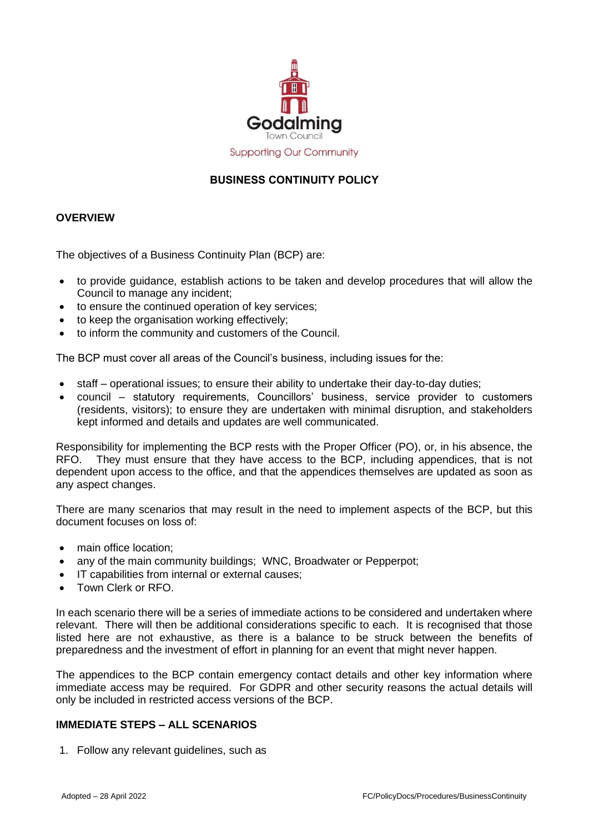

# **Supporting Our Community**

# **BUSINESS CONTINUITY POLICY**

#### **OVERVIEW**

The objectives of a Business Continuity Plan (BCP) are:

- to provide guidance, establish actions to be taken and develop procedures that will allow the Council to manage any incident;
- to ensure the continued operation of key services;
- to keep the organisation working effectively;
- to inform the community and customers of the Council.

The BCP must cover all areas of the Council's business, including issues for the:

- staff operational issues; to ensure their ability to undertake their day-to-day duties;
- council statutory requirements, Councillors' business, service provider to customers (residents, visitors); to ensure they are undertaken with minimal disruption, and stakeholders kept informed and details and updates are well communicated.

Responsibility for implementing the BCP rests with the Proper Officer (PO), or, in his absence, the RFO. They must ensure that they have access to the BCP, including appendices, that is not dependent upon access to the office, and that the appendices themselves are updated as soon as any aspect changes.

There are many scenarios that may result in the need to implement aspects of the BCP, but this document focuses on loss of:

- main office location;
- any of the main community buildings; WNC, Broadwater or Pepperpot;
- IT capabilities from internal or external causes;
- Town Clerk or RFO.

In each scenario there will be a series of immediate actions to be considered and undertaken where relevant. There will then be additional considerations specific to each. It is recognised that those listed here are not exhaustive, as there is a balance to be struck between the benefits of preparedness and the investment of effort in planning for an event that might never happen.

The appendices to the BCP contain emergency contact details and other key information where immediate access may be required. For GDPR and other security reasons the actual details will only be included in restricted access versions of the BCP.

## **IMMEDIATE STEPS – ALL SCENARIOS**

1. Follow any relevant guidelines, such as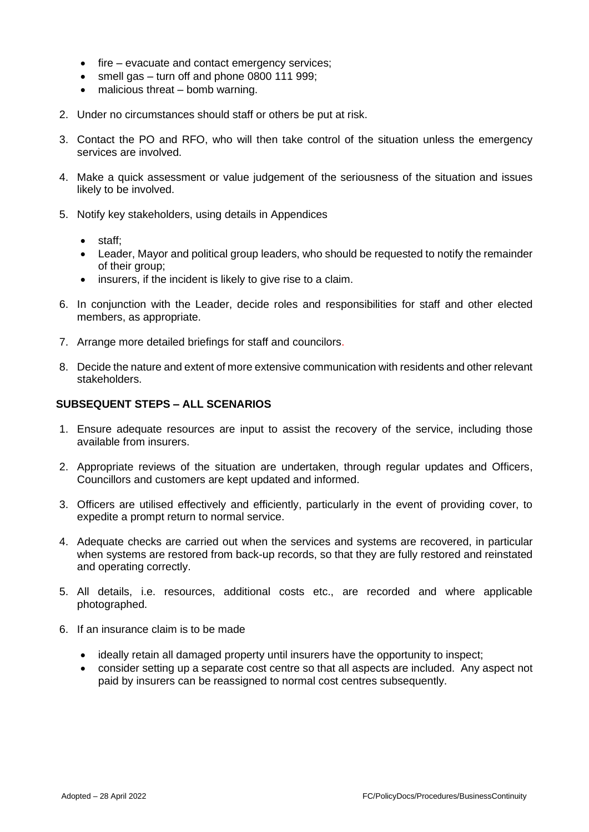- fire evacuate and contact emergency services;
- smell gas turn off and phone 0800 111 999;
- malicious threat bomb warning.
- 2. Under no circumstances should staff or others be put at risk.
- 3. Contact the PO and RFO, who will then take control of the situation unless the emergency services are involved.
- 4. Make a quick assessment or value judgement of the seriousness of the situation and issues likely to be involved.
- 5. Notify key stakeholders, using details in Appendices
	- staff;
	- Leader, Mayor and political group leaders, who should be requested to notify the remainder of their group;
	- insurers, if the incident is likely to give rise to a claim.
- 6. In conjunction with the Leader, decide roles and responsibilities for staff and other elected members, as appropriate.
- 7. Arrange more detailed briefings for staff and councilors.
- 8. Decide the nature and extent of more extensive communication with residents and other relevant stakeholders.

#### **SUBSEQUENT STEPS – ALL SCENARIOS**

- 1. Ensure adequate resources are input to assist the recovery of the service, including those available from insurers.
- 2. Appropriate reviews of the situation are undertaken, through regular updates and Officers, Councillors and customers are kept updated and informed.
- 3. Officers are utilised effectively and efficiently, particularly in the event of providing cover, to expedite a prompt return to normal service.
- 4. Adequate checks are carried out when the services and systems are recovered, in particular when systems are restored from back-up records, so that they are fully restored and reinstated and operating correctly.
- 5. All details, i.e. resources, additional costs etc., are recorded and where applicable photographed.
- 6. If an insurance claim is to be made
	- ideally retain all damaged property until insurers have the opportunity to inspect;
	- consider setting up a separate cost centre so that all aspects are included. Any aspect not paid by insurers can be reassigned to normal cost centres subsequently.